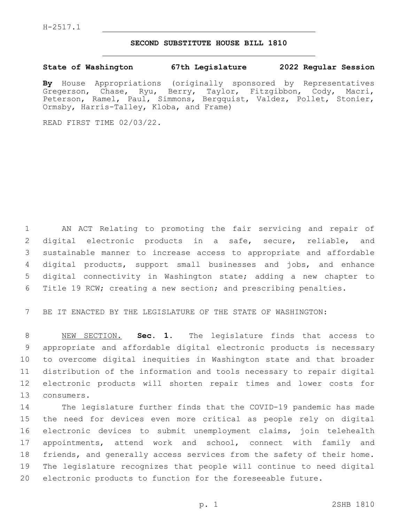## **SECOND SUBSTITUTE HOUSE BILL 1810**

## **State of Washington 67th Legislature 2022 Regular Session**

**By** House Appropriations (originally sponsored by Representatives Gregerson, Chase, Ryu, Berry, Taylor, Fitzgibbon, Cody, Macri, Peterson, Ramel, Paul, Simmons, Bergquist, Valdez, Pollet, Stonier, Ormsby, Harris-Talley, Kloba, and Frame)

READ FIRST TIME 02/03/22.

 AN ACT Relating to promoting the fair servicing and repair of digital electronic products in a safe, secure, reliable, and sustainable manner to increase access to appropriate and affordable digital products, support small businesses and jobs, and enhance digital connectivity in Washington state; adding a new chapter to Title 19 RCW; creating a new section; and prescribing penalties.

BE IT ENACTED BY THE LEGISLATURE OF THE STATE OF WASHINGTON:

 NEW SECTION. **Sec. 1.** The legislature finds that access to appropriate and affordable digital electronic products is necessary to overcome digital inequities in Washington state and that broader distribution of the information and tools necessary to repair digital electronic products will shorten repair times and lower costs for consumers.

 The legislature further finds that the COVID-19 pandemic has made the need for devices even more critical as people rely on digital electronic devices to submit unemployment claims, join telehealth appointments, attend work and school, connect with family and friends, and generally access services from the safety of their home. The legislature recognizes that people will continue to need digital electronic products to function for the foreseeable future.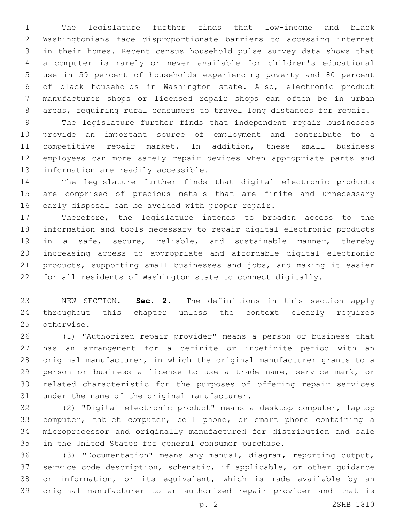The legislature further finds that low-income and black Washingtonians face disproportionate barriers to accessing internet in their homes. Recent census household pulse survey data shows that a computer is rarely or never available for children's educational use in 59 percent of households experiencing poverty and 80 percent of black households in Washington state. Also, electronic product manufacturer shops or licensed repair shops can often be in urban areas, requiring rural consumers to travel long distances for repair.

 The legislature further finds that independent repair businesses provide an important source of employment and contribute to a competitive repair market. In addition, these small business employees can more safely repair devices when appropriate parts and 13 information are readily accessible.

 The legislature further finds that digital electronic products are comprised of precious metals that are finite and unnecessary 16 early disposal can be avoided with proper repair.

 Therefore, the legislature intends to broaden access to the information and tools necessary to repair digital electronic products in a safe, secure, reliable, and sustainable manner, thereby increasing access to appropriate and affordable digital electronic products, supporting small businesses and jobs, and making it easier for all residents of Washington state to connect digitally.

 NEW SECTION. **Sec. 2.** The definitions in this section apply throughout this chapter unless the context clearly requires otherwise.

 (1) "Authorized repair provider" means a person or business that has an arrangement for a definite or indefinite period with an original manufacturer, in which the original manufacturer grants to a person or business a license to use a trade name, service mark, or related characteristic for the purposes of offering repair services 31 under the name of the original manufacturer.

 (2) "Digital electronic product" means a desktop computer, laptop computer, tablet computer, cell phone, or smart phone containing a microprocessor and originally manufactured for distribution and sale in the United States for general consumer purchase.

 (3) "Documentation" means any manual, diagram, reporting output, service code description, schematic, if applicable, or other guidance or information, or its equivalent, which is made available by an original manufacturer to an authorized repair provider and that is

p. 2 2SHB 1810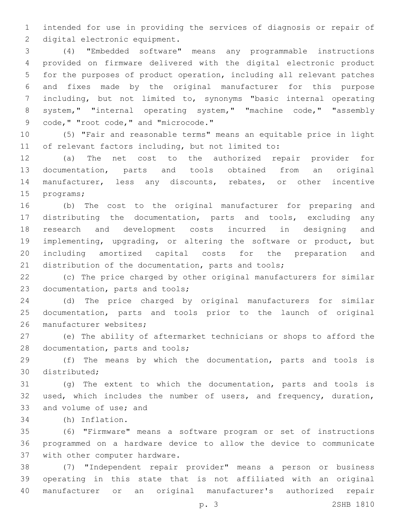intended for use in providing the services of diagnosis or repair of 2 digital electronic equipment.

 (4) "Embedded software" means any programmable instructions provided on firmware delivered with the digital electronic product for the purposes of product operation, including all relevant patches and fixes made by the original manufacturer for this purpose including, but not limited to, synonyms "basic internal operating system," "internal operating system," "machine code," "assembly 9 code, " "root code, " and "microcode."

 (5) "Fair and reasonable terms" means an equitable price in light of relevant factors including, but not limited to:

 (a) The net cost to the authorized repair provider for documentation, parts and tools obtained from an original manufacturer, less any discounts, rebates, or other incentive 15 programs;

 (b) The cost to the original manufacturer for preparing and distributing the documentation, parts and tools, excluding any research and development costs incurred in designing and implementing, upgrading, or altering the software or product, but including amortized capital costs for the preparation and distribution of the documentation, parts and tools;

 (c) The price charged by other original manufacturers for similar 23 documentation, parts and tools;

 (d) The price charged by original manufacturers for similar documentation, parts and tools prior to the launch of original 26 manufacturer websites;

 (e) The ability of aftermarket technicians or shops to afford the 28 documentation, parts and tools;

 (f) The means by which the documentation, parts and tools is 30 distributed:

 (g) The extent to which the documentation, parts and tools is used, which includes the number of users, and frequency, duration, 33 and volume of use; and

(h) Inflation.34

 (6) "Firmware" means a software program or set of instructions programmed on a hardware device to allow the device to communicate 37 with other computer hardware.

 (7) "Independent repair provider" means a person or business operating in this state that is not affiliated with an original manufacturer or an original manufacturer's authorized repair

p. 3 2SHB 1810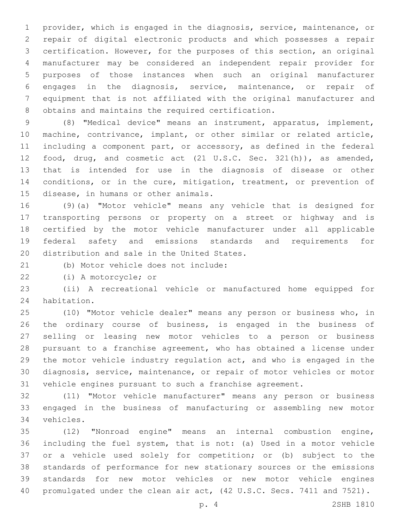provider, which is engaged in the diagnosis, service, maintenance, or repair of digital electronic products and which possesses a repair certification. However, for the purposes of this section, an original manufacturer may be considered an independent repair provider for purposes of those instances when such an original manufacturer engages in the diagnosis, service, maintenance, or repair of equipment that is not affiliated with the original manufacturer and 8 obtains and maintains the required certification.

 (8) "Medical device" means an instrument, apparatus, implement, machine, contrivance, implant, or other similar or related article, including a component part, or accessory, as defined in the federal food, drug, and cosmetic act (21 U.S.C. Sec. 321(h)), as amended, that is intended for use in the diagnosis of disease or other 14 conditions, or in the cure, mitigation, treatment, or prevention of 15 disease, in humans or other animals.

 (9)(a) "Motor vehicle" means any vehicle that is designed for transporting persons or property on a street or highway and is certified by the motor vehicle manufacturer under all applicable federal safety and emissions standards and requirements for 20 distribution and sale in the United States.

(b) Motor vehicle does not include:

22 (i) A motorcycle; or

 (ii) A recreational vehicle or manufactured home equipped for 24 habitation.

 (10) "Motor vehicle dealer" means any person or business who, in the ordinary course of business, is engaged in the business of selling or leasing new motor vehicles to a person or business pursuant to a franchise agreement, who has obtained a license under the motor vehicle industry regulation act, and who is engaged in the diagnosis, service, maintenance, or repair of motor vehicles or motor vehicle engines pursuant to such a franchise agreement.

 (11) "Motor vehicle manufacturer" means any person or business engaged in the business of manufacturing or assembling new motor 34 vehicles.

 (12) "Nonroad engine" means an internal combustion engine, including the fuel system, that is not: (a) Used in a motor vehicle or a vehicle used solely for competition; or (b) subject to the standards of performance for new stationary sources or the emissions standards for new motor vehicles or new motor vehicle engines promulgated under the clean air act, (42 U.S.C. Secs. 7411 and 7521).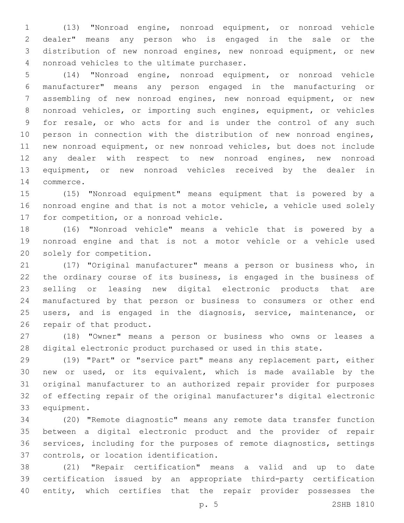(13) "Nonroad engine, nonroad equipment, or nonroad vehicle dealer" means any person who is engaged in the sale or the distribution of new nonroad engines, new nonroad equipment, or new 4 nonroad vehicles to the ultimate purchaser.

 (14) "Nonroad engine, nonroad equipment, or nonroad vehicle manufacturer" means any person engaged in the manufacturing or assembling of new nonroad engines, new nonroad equipment, or new nonroad vehicles, or importing such engines, equipment, or vehicles for resale, or who acts for and is under the control of any such person in connection with the distribution of new nonroad engines, new nonroad equipment, or new nonroad vehicles, but does not include any dealer with respect to new nonroad engines, new nonroad equipment, or new nonroad vehicles received by the dealer in 14 commerce.

 (15) "Nonroad equipment" means equipment that is powered by a nonroad engine and that is not a motor vehicle, a vehicle used solely 17 for competition, or a nonroad vehicle.

 (16) "Nonroad vehicle" means a vehicle that is powered by a nonroad engine and that is not a motor vehicle or a vehicle used 20 solely for competition.

 (17) "Original manufacturer" means a person or business who, in the ordinary course of its business, is engaged in the business of selling or leasing new digital electronic products that are manufactured by that person or business to consumers or other end users, and is engaged in the diagnosis, service, maintenance, or 26 repair of that product.

 (18) "Owner" means a person or business who owns or leases a digital electronic product purchased or used in this state.

 (19) "Part" or "service part" means any replacement part, either new or used, or its equivalent, which is made available by the original manufacturer to an authorized repair provider for purposes of effecting repair of the original manufacturer's digital electronic 33 equipment.

 (20) "Remote diagnostic" means any remote data transfer function between a digital electronic product and the provider of repair services, including for the purposes of remote diagnostics, settings 37 controls, or location identification.

 (21) "Repair certification" means a valid and up to date certification issued by an appropriate third-party certification entity, which certifies that the repair provider possesses the

p. 5 2SHB 1810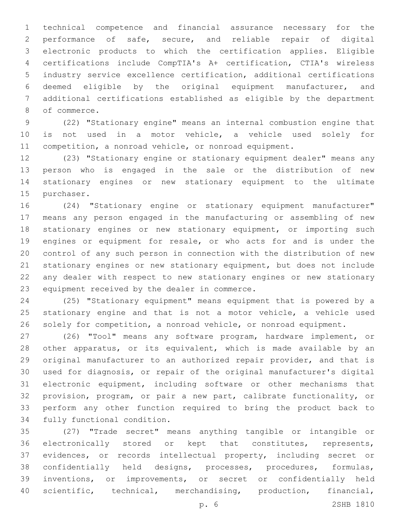technical competence and financial assurance necessary for the performance of safe, secure, and reliable repair of digital electronic products to which the certification applies. Eligible certifications include CompTIA's A+ certification, CTIA's wireless industry service excellence certification, additional certifications deemed eligible by the original equipment manufacturer, and additional certifications established as eligible by the department 8 of commerce.

 (22) "Stationary engine" means an internal combustion engine that is not used in a motor vehicle, a vehicle used solely for competition, a nonroad vehicle, or nonroad equipment.

 (23) "Stationary engine or stationary equipment dealer" means any person who is engaged in the sale or the distribution of new stationary engines or new stationary equipment to the ultimate 15 purchaser.

 (24) "Stationary engine or stationary equipment manufacturer" means any person engaged in the manufacturing or assembling of new stationary engines or new stationary equipment, or importing such engines or equipment for resale, or who acts for and is under the control of any such person in connection with the distribution of new stationary engines or new stationary equipment, but does not include any dealer with respect to new stationary engines or new stationary 23 equipment received by the dealer in commerce.

 (25) "Stationary equipment" means equipment that is powered by a 25 stationary engine and that is not a motor vehicle, a vehicle used solely for competition, a nonroad vehicle, or nonroad equipment.

 (26) "Tool" means any software program, hardware implement, or other apparatus, or its equivalent, which is made available by an original manufacturer to an authorized repair provider, and that is used for diagnosis, or repair of the original manufacturer's digital electronic equipment, including software or other mechanisms that provision, program, or pair a new part, calibrate functionality, or perform any other function required to bring the product back to 34 fully functional condition.

 (27) "Trade secret" means anything tangible or intangible or electronically stored or kept that constitutes, represents, evidences, or records intellectual property, including secret or confidentially held designs, processes, procedures, formulas, inventions, or improvements, or secret or confidentially held scientific, technical, merchandising, production, financial,

p. 6 2SHB 1810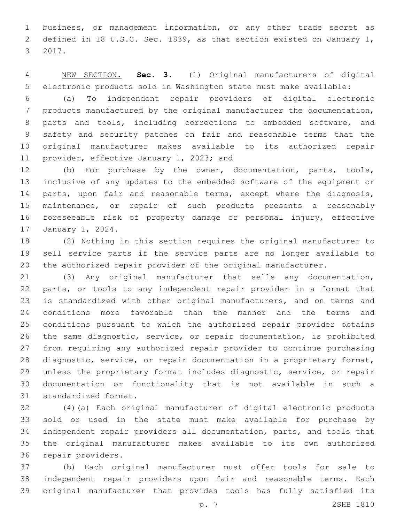business, or management information, or any other trade secret as defined in 18 U.S.C. Sec. 1839, as that section existed on January 1, 3 2017.

 NEW SECTION. **Sec. 3.** (1) Original manufacturers of digital electronic products sold in Washington state must make available:

 (a) To independent repair providers of digital electronic products manufactured by the original manufacturer the documentation, parts and tools, including corrections to embedded software, and safety and security patches on fair and reasonable terms that the original manufacturer makes available to its authorized repair 11 provider, effective January 1, 2023; and

 (b) For purchase by the owner, documentation, parts, tools, inclusive of any updates to the embedded software of the equipment or 14 parts, upon fair and reasonable terms, except where the diagnosis, maintenance, or repair of such products presents a reasonably foreseeable risk of property damage or personal injury, effective 17 January 1, 2024.

 (2) Nothing in this section requires the original manufacturer to sell service parts if the service parts are no longer available to the authorized repair provider of the original manufacturer.

 (3) Any original manufacturer that sells any documentation, parts, or tools to any independent repair provider in a format that is standardized with other original manufacturers, and on terms and conditions more favorable than the manner and the terms and conditions pursuant to which the authorized repair provider obtains the same diagnostic, service, or repair documentation, is prohibited from requiring any authorized repair provider to continue purchasing diagnostic, service, or repair documentation in a proprietary format, unless the proprietary format includes diagnostic, service, or repair documentation or functionality that is not available in such a 31 standardized format.

 (4)(a) Each original manufacturer of digital electronic products sold or used in the state must make available for purchase by independent repair providers all documentation, parts, and tools that the original manufacturer makes available to its own authorized 36 repair providers.

 (b) Each original manufacturer must offer tools for sale to independent repair providers upon fair and reasonable terms. Each original manufacturer that provides tools has fully satisfied its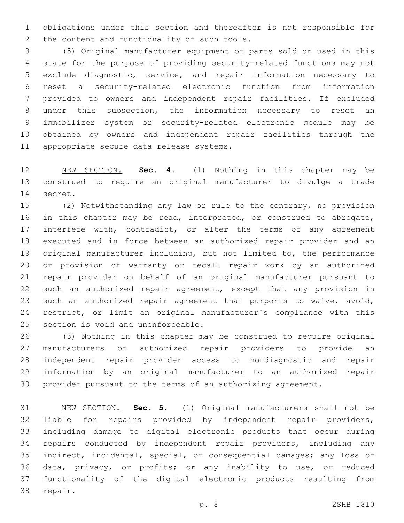obligations under this section and thereafter is not responsible for 2 the content and functionality of such tools.

 (5) Original manufacturer equipment or parts sold or used in this state for the purpose of providing security-related functions may not exclude diagnostic, service, and repair information necessary to reset a security-related electronic function from information provided to owners and independent repair facilities. If excluded under this subsection, the information necessary to reset an immobilizer system or security-related electronic module may be obtained by owners and independent repair facilities through the 11 appropriate secure data release systems.

 NEW SECTION. **Sec. 4.** (1) Nothing in this chapter may be construed to require an original manufacturer to divulge a trade secret.

 (2) Notwithstanding any law or rule to the contrary, no provision in this chapter may be read, interpreted, or construed to abrogate, 17 interfere with, contradict, or alter the terms of any agreement executed and in force between an authorized repair provider and an original manufacturer including, but not limited to, the performance or provision of warranty or recall repair work by an authorized repair provider on behalf of an original manufacturer pursuant to such an authorized repair agreement, except that any provision in such an authorized repair agreement that purports to waive, avoid, restrict, or limit an original manufacturer's compliance with this 25 section is void and unenforceable.

 (3) Nothing in this chapter may be construed to require original manufacturers or authorized repair providers to provide an independent repair provider access to nondiagnostic and repair information by an original manufacturer to an authorized repair provider pursuant to the terms of an authorizing agreement.

 NEW SECTION. **Sec. 5.** (1) Original manufacturers shall not be liable for repairs provided by independent repair providers, including damage to digital electronic products that occur during repairs conducted by independent repair providers, including any indirect, incidental, special, or consequential damages; any loss of data, privacy, or profits; or any inability to use, or reduced functionality of the digital electronic products resulting from repair.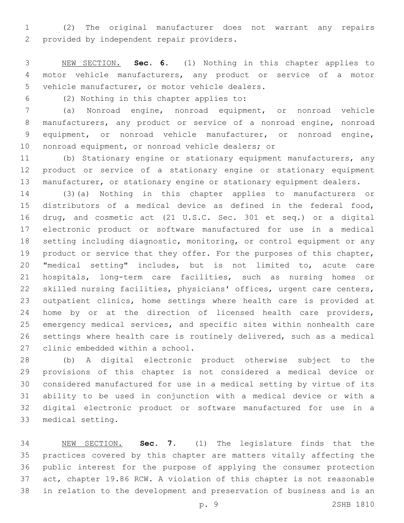(2) The original manufacturer does not warrant any repairs 2 provided by independent repair providers.

 NEW SECTION. **Sec. 6.** (1) Nothing in this chapter applies to motor vehicle manufacturers, any product or service of a motor vehicle manufacturer, or motor vehicle dealers.

(2) Nothing in this chapter applies to:6

 (a) Nonroad engine, nonroad equipment, or nonroad vehicle manufacturers, any product or service of a nonroad engine, nonroad equipment, or nonroad vehicle manufacturer, or nonroad engine, 10 nonroad equipment, or nonroad vehicle dealers; or

 (b) Stationary engine or stationary equipment manufacturers, any product or service of a stationary engine or stationary equipment 13 manufacturer, or stationary engine or stationary equipment dealers.

 (3)(a) Nothing in this chapter applies to manufacturers or distributors of a medical device as defined in the federal food, drug, and cosmetic act (21 U.S.C. Sec. 301 et seq.) or a digital electronic product or software manufactured for use in a medical setting including diagnostic, monitoring, or control equipment or any 19 product or service that they offer. For the purposes of this chapter, "medical setting" includes, but is not limited to, acute care hospitals, long-term care facilities, such as nursing homes or skilled nursing facilities, physicians' offices, urgent care centers, outpatient clinics, home settings where health care is provided at home by or at the direction of licensed health care providers, emergency medical services, and specific sites within nonhealth care settings where health care is routinely delivered, such as a medical 27 clinic embedded within a school.

 (b) A digital electronic product otherwise subject to the provisions of this chapter is not considered a medical device or considered manufactured for use in a medical setting by virtue of its ability to be used in conjunction with a medical device or with a digital electronic product or software manufactured for use in a 33 medical setting.

 NEW SECTION. **Sec. 7.** (1) The legislature finds that the practices covered by this chapter are matters vitally affecting the public interest for the purpose of applying the consumer protection act, chapter 19.86 RCW. A violation of this chapter is not reasonable in relation to the development and preservation of business and is an